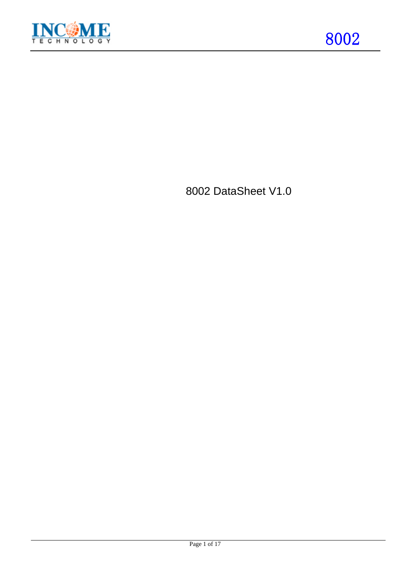

8002 DataSheet V1.0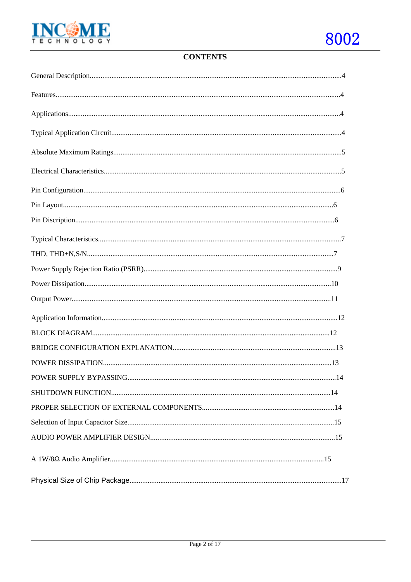

### **CONTENTS**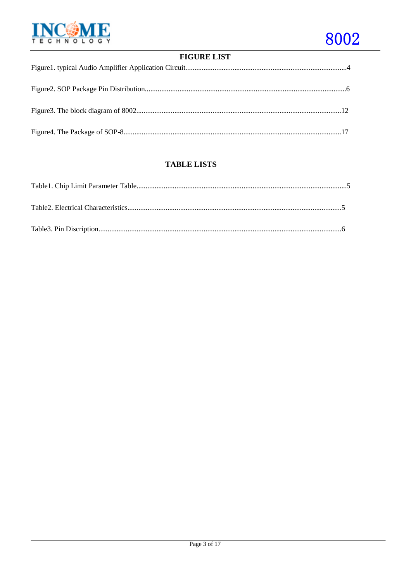

### **FIGURE LIST**

### **TABLE LISTS**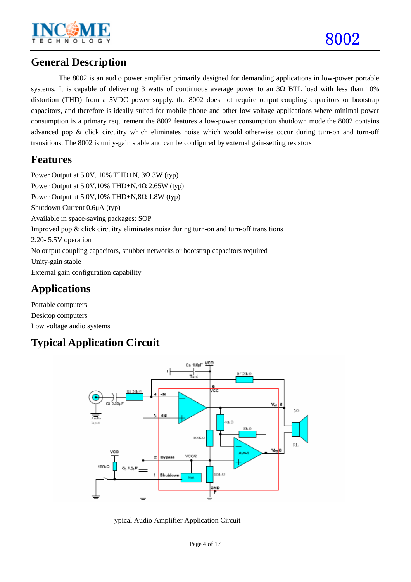

## **General Description**

The 8002 is an audio power amplifier primarily designed for demanding applications in low-power portable systems. It is capable of delivering 3 watts of continuous average power to an 3Ω BTL load with less than 10% distortion (THD) from a 5VDC power supply. the 8002 does not require output coupling capacitors or bootstrap capacitors, and therefore is ideally suited for mobile phone and other low voltage applications where minimal power consumption is a primary requirement.the 8002 features a low-power consumption shutdown mode.the 8002 contains advanced pop & click circuitry which eliminates noise which would otherwise occur during turn-on and turn-off transitions. The 8002 is unity-gain stable and can be configured by external gain-setting resistors

## **Features**

Power Output at 5.0V, 10% THD+N, 3 $\Omega$  3W (typ) Power Output at  $5.0V,10\%$  THD+N,4 $\Omega$  2.65W (typ) Power Output at  $5.0V,10\%$  THD+N,8 $\Omega$  1.8W (typ) Shutdown Current 0.6µA (typ) Available in space-saving packages: SOP Improved pop & click circuitry eliminates noise during turn-on and turn-off transitions 2.20- 5.5V operation No output coupling capacitors, snubber networks or bootstrap capacitors required Unity-gain stable External gain configuration capability

## **Applications**

Portable computers Desktop computers Low voltage audio systems

## **Typical Application Circuit**



ypical Audio Amplifier Application Circuit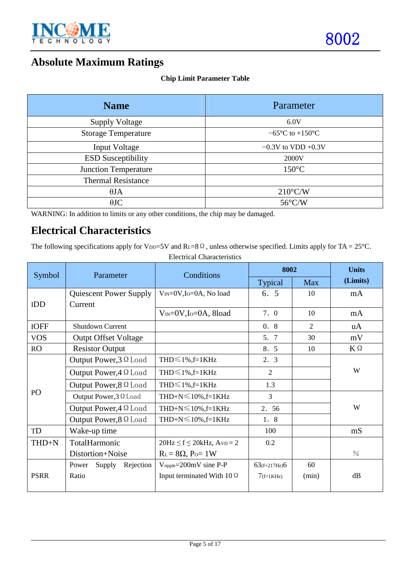

## **Absolute Maximum Ratings**

#### **Chip Limit Parameter Table**

| <b>Name</b>                 | Parameter                           |  |  |
|-----------------------------|-------------------------------------|--|--|
| <b>Supply Voltage</b>       | 6.0V                                |  |  |
| <b>Storage Temperature</b>  | $-65^{\circ}$ C to $+150^{\circ}$ C |  |  |
| <b>Input Voltage</b>        | $-0.3V$ to VDD $+0.3V$              |  |  |
| <b>ESD Susceptibility</b>   | 2000V                               |  |  |
| <b>Junction Temperature</b> | $150^{\circ}$ C                     |  |  |
| <b>Thermal Resistance</b>   |                                     |  |  |
| $\theta$ JA                 | $210^{\circ}$ C/W                   |  |  |
| $\theta$ JC                 | $56^{\circ}$ C/W                    |  |  |

WARNING: In addition to limits or any other conditions, the chip may be damaged.

## **Electrical Characteristics**

The following specifications apply for V<sub>DD</sub>=5V and RL=8 $\Omega$ , unless otherwise specified. Limits apply for TA = 25°C.

| Symbol                        | Parameter                     | Conditions                                       | 8002               |            | <b>Units</b>  |  |
|-------------------------------|-------------------------------|--------------------------------------------------|--------------------|------------|---------------|--|
|                               |                               |                                                  | Typical            | <b>Max</b> | (Limits)      |  |
| <b>Quiescent Power Supply</b> |                               | V <sub>IN</sub> =0V, Io=0A, No load              | 6. 5               | 10         | mA            |  |
| IDD                           | Current                       |                                                  |                    |            |               |  |
|                               |                               | $V_{IN} = 0V$ , Io=0A, 8load                     | 7. 0               | 10         | mA            |  |
| <b>IOFF</b>                   | <b>Shutdown Current</b>       |                                                  | 0.8                | 2          | uA            |  |
| <b>VOS</b>                    | <b>Outpt Offset Voltage</b>   |                                                  | 5. 7               | 30         | mV            |  |
| RO                            | <b>Resistor Output</b>        |                                                  | 8. 5               | 10         | $K \Omega$    |  |
|                               | Output Power, $3 \Omega$ Load | $THD \le 1\%$ , f=1KHz                           | 2.3                |            | W             |  |
|                               | Output Power, $4 \Omega$ Load | $THD \le 1\%$ , f=1KHz                           | $\overline{2}$     |            |               |  |
|                               | Output Power, $8 \Omega$ Load | $THD \le 1\%$ , f=1KHz                           | 1.3                |            |               |  |
| PO                            | Output Power, 3 Ω Load        | THD+ $N \le 10\%$ , f=1KHz                       | $\overline{3}$     |            |               |  |
|                               | Output Power, $4 \Omega$ Load | $THD+N \leq 10\%$ , f=1KHz                       | 2. 56              |            | W             |  |
|                               | Output Power, $8 \Omega$ Load | THD+ $N \le 10\%$ , f=1KHz                       | 1. 8               |            |               |  |
| TD                            | Wake-up time                  |                                                  | 100                |            | mS            |  |
| TotalHarmonic<br>THD+N        |                               | $20\text{Hz} \leq f \leq 20\text{kHz}$ , AvD = 2 | 0.2                |            |               |  |
|                               | Distortion+Noise              | $R_L = 8\Omega$ , $P_0 = 1W$                     |                    |            | $\frac{0}{0}$ |  |
|                               | Supply<br>Power<br>Rejection  | $V_{\text{ripple}} = 200 \text{mV}$ sine P-P     | $63$ (f=217Hz) $6$ | 60         |               |  |
| <b>PSRR</b>                   | Ratio                         | Input terminated With $10\Omega$                 | $7(f=1KHz)$        | (min)      | dB            |  |
|                               |                               |                                                  |                    |            |               |  |

Electrical Characteristics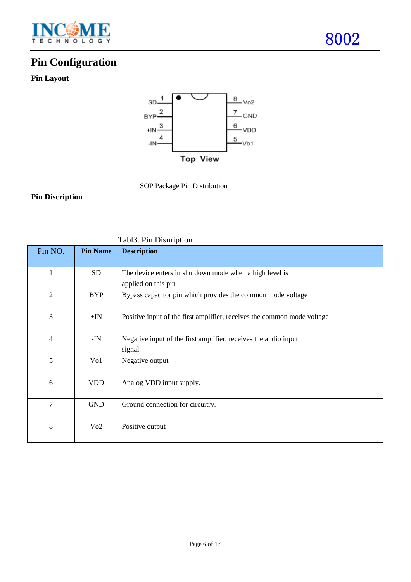

## **Pin Configuration**

## **Pin Layout**



SOP Package Pin Distribution

### **Pin Discription**

| Pin NO.        | <b>Pin Name</b> | <b>Description</b>                                                             |
|----------------|-----------------|--------------------------------------------------------------------------------|
| $\mathbf{1}$   | <b>SD</b>       | The device enters in shutdown mode when a high level is<br>applied on this pin |
| $\mathfrak{2}$ | <b>BYP</b>      | Bypass capacitor pin which provides the common mode voltage                    |
| 3              | $+{\rm IN}$     | Positive input of the first amplifier, receives the common mode voltage        |
| $\overline{4}$ | $-IN$           | Negative input of the first amplifier, receives the audio input<br>signal      |
| 5              | Vol             | Negative output                                                                |
| 6              | <b>VDD</b>      | Analog VDD input supply.                                                       |
| 7              | <b>GND</b>      | Ground connection for circuitry.                                               |
| 8              | Vo2             | Positive output                                                                |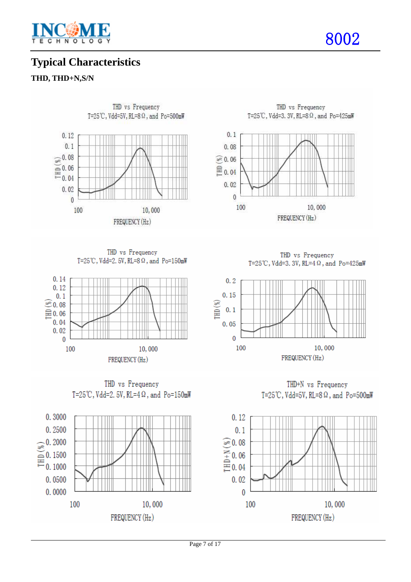

## **Typical Characteristics**

### **THD, THD+N,S/N**



THD vs Frequency T=25℃, Vdd=3. 3V, RL=8 Ω, and Po=425mW  $0.1$  $0.08$  $\widehat{\geqslant}$  0.06  $\Xi$ <sub>0.04</sub>  $0.02$  $\overline{0}$ 100 10,000 FREQUENCY (Hz)

THD vs Frequency T=25℃, Vdd=2. 5V, RL=8 Ω, and Po=150mW



THD vs Frequency T=25°C, Vdd=2.5V, RL=4 $\Omega$ , and Po=150mW



THD vs Frequency T=25°C, Vdd=3.3V, RL=4 $\Omega$ , and Po=425mW



THD+N vs Frequency T=25℃, Vdd=5V, RL=8 Ω, and Po=500mW

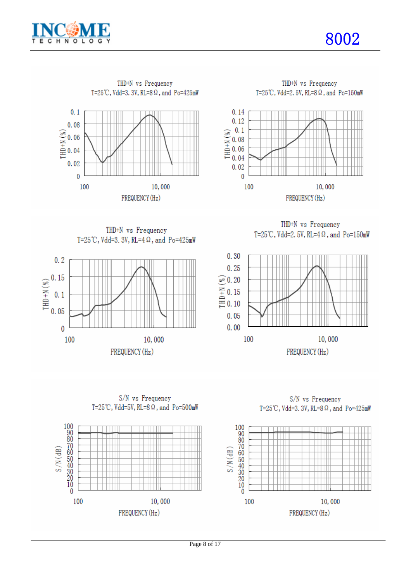





THD+N vs Frequency T=25℃, Vdd=2. 5V, RL=8 Ω, and Po=150mW



THD+N vs Frequency T=25°C, Vdd=3, 3V, RL=4 $\Omega$ , and Po=425mW



THD+N vs Frequency T=25°C, Vdd=2, 5V, RL=4 $\Omega$ , and Po=150mW



S/N vs Frequency T=25℃, Vdd=5V, RL=8Ω, and Po=500mW



S/N vs Frequency T=25℃, Vdd=3. 3V, RL=8 Ω, and Po=425mW

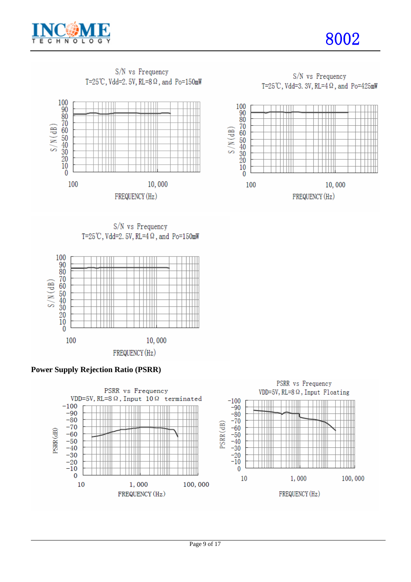



S/N vs Frequency T=25℃, Vdd=3. 3V, RL=4 Ω, and Po=425mW



S/N vs Frequency T=25°C, Vdd=2.5V, RL=4 $\Omega$ , and Po=150mW





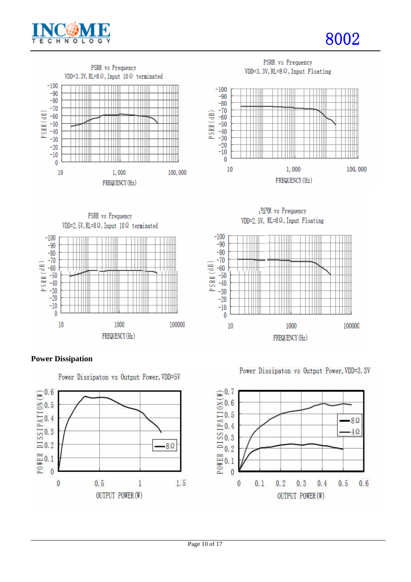



**PSRR** vs Frequency VDD=3.3V, RL=8 Ω, Input Floating



**PSPR** vs Frequency VDD=2.5V, RL=8 Ω, Input Floating





### **Power Dissipation**

 $\begin{array}{r} 0.6 \\ 0.5 \\ 0.5 \\ 0.4 \\ 0.3 \\ 0.2 \\ 0.2 \end{array}$ 

 $m = 0.1$ <br> $m = 0$  $\mathbf{0}$ 

 $\mathbf{0}$ 

 $0.5$ 

Power Dissipaton vs Output Power, VDD=5V

FREQUENCY (Hz)

Power Dissipaton vs Output Power, VDD=3.3V

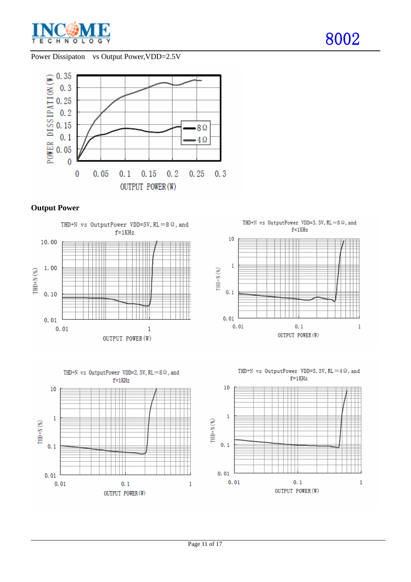

Power Dissipaton vs Output Power,VDD=2.5V

8002













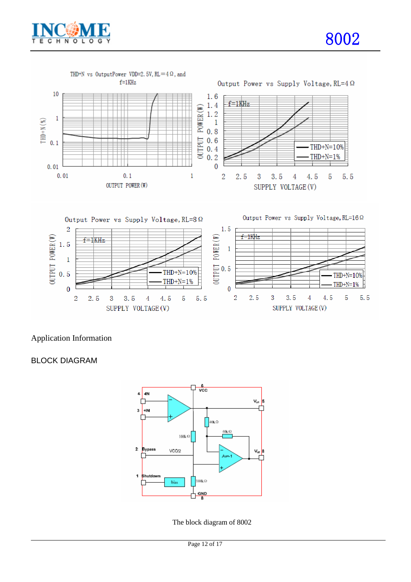



### Application Information

### BLOCK DIAGRAM



The block diagram of 8002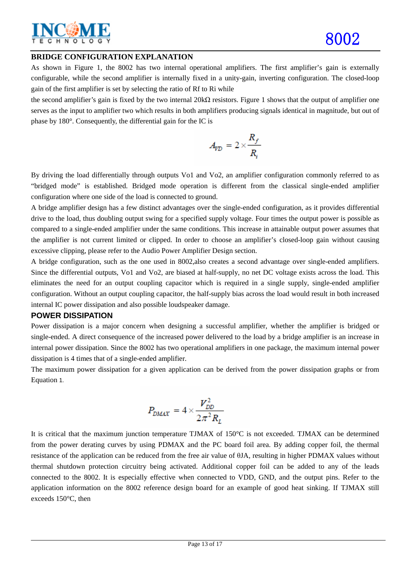

#### **BRIDGE CONFIGURATION EXPLANATION**

As shown in Figure 1, the 8002 has two internal operational amplifiers. The first amplifier's gain is externally configurable, while the second amplifier is internally fixed in a unity-gain, inverting configuration. The closed-loop gain of the first amplifier is set by selecting the ratio of Rf to Ri while

the second amplifier's gain is fixed by the two internal  $20k\Omega$  resistors. Figure 1 shows that the output of amplifier one serves as the input to amplifier two which results in both amplifiers producing signals identical in magnitude, but out of phase by 180°. Consequently, the differential gain for the IC is

$$
A_{V\!D} = 2 \times \frac{R_f}{R_i}
$$

By driving the load differentially through outputs Vo1 and Vo2, an amplifier configuration commonly referred to as "bridged mode" is established. Bridged mode operation is different from the classical single-ended amplifier configuration where one side of the load is connected to ground.

A bridge amplifier design has a few distinct advantages over the single-ended configuration, as it provides differential drive to the load, thus doubling output swing for a specified supply voltage. Four times the output power is possible as compared to a single-ended amplifier under the same conditions. This increase in attainable output power assumes that the amplifier is not current limited or clipped. In order to choose an amplifier's closed-loop gain without causing excessive clipping, please refer to the Audio Power Amplifier Design section.

A bridge configuration, such as the one used in 8002,also creates a second advantage over single-ended amplifiers. Since the differential outputs, Vo1 and Vo2, are biased at half-supply, no net DC voltage exists across the load. This eliminates the need for an output coupling capacitor which is required in a single supply, single-ended amplifier configuration. Without an output coupling capacitor, the half-supply bias across the load would result in both increased internal IC power dissipation and also possible loudspeaker damage.

#### **POWER DISSIPATION**

Power dissipation is a major concern when designing a successful amplifier, whether the amplifier is bridged or single-ended. A direct consequence of the increased power delivered to the load by a bridge amplifier is an increase in internal power dissipation. Since the 8002 has two operational amplifiers in one package, the maximum internal power dissipation is 4 times that of a single-ended amplifier.

The maximum power dissipation for a given application can be derived from the power dissipation graphs or from Equation 1.

$$
P_{\text{DMAX}} = 4 \times \frac{V_{\text{DD}}^2}{2\pi^2 R_L}
$$

It is critical that the maximum junction temperature TJMAX of 150°C is not exceeded. TJMAX can be determined from the power derating curves by using PDMAX and the PC board foil area. By adding copper foil, the thermal resistance of the application can be reduced from the free air value of θJA, resulting in higher PDMAX values without thermal shutdown protection circuitry being activated. Additional copper foil can be added to any of the leads connected to the 8002. It is especially effective when connected to VDD, GND, and the output pins. Refer to the application information on the 8002 reference design board for an example of good heat sinking. If TJMAX still exceeds 150°C, then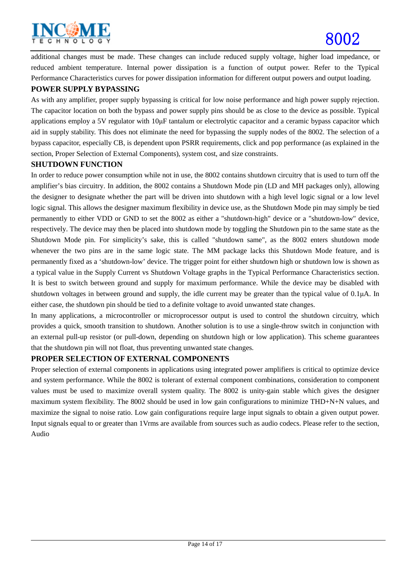

additional changes must be made. These changes can include reduced supply voltage, higher load impedance, or reduced ambient temperature. Internal power dissipation is a function of output power. Refer to the Typical Performance Characteristics curves for power dissipation information for different output powers and output loading.

#### **POWER SUPPLY BYPASSING**

As with any amplifier, proper supply bypassing is critical for low noise performance and high power supply rejection. The capacitor location on both the bypass and power supply pins should be as close to the device as possible. Typical applications employ a 5V regulator with 10µF tantalum or electrolytic capacitor and a ceramic bypass capacitor which aid in supply stability. This does not eliminate the need for bypassing the supply nodes of the 8002. The selection of a bypass capacitor, especially CB, is dependent upon PSRR requirements, click and pop performance (as explained in the section, Proper Selection of External Components), system cost, and size constraints.

#### **SHUTDOWN FUNCTION**

In order to reduce power consumption while not in use, the 8002 contains shutdown circuitry that is used to turn off the amplifier's bias circuitry. In addition, the 8002 contains a Shutdown Mode pin (LD and MH packages only), allowing the designer to designate whether the part will be driven into shutdown with a high level logic signal or a low level logic signal. This allows the designer maximum flexibility in device use, as the Shutdown Mode pin may simply be tied permanently to either VDD or GND to set the 8002 as either a "shutdown-high" device or a "shutdown-low" device, respectively. The device may then be placed into shutdown mode by toggling the Shutdown pin to the same state as the Shutdown Mode pin. For simplicity's sake, this is called "shutdown same", as the 8002 enters shutdown mode whenever the two pins are in the same logic state. The MM package lacks this Shutdown Mode feature, and is permanently fixed as a 'shutdown-low' device. The trigger point for either shutdown high or shutdown low is shown as a typical value in the Supply Current vs Shutdown Voltage graphs in the Typical Performance Characteristics section. It is best to switch between ground and supply for maximum performance. While the device may be disabled with shutdown voltages in between ground and supply, the idle current may be greater than the typical value of 0.1 $\mu$ A. In either case, the shutdown pin should be tied to a definite voltage to avoid unwanted state changes.

In many applications, a microcontroller or microprocessor output is used to control the shutdown circuitry, which provides a quick, smooth transition to shutdown. Another solution is to use a single-throw switch in conjunction with an external pull-up resistor (or pull-down, depending on shutdown high or low application). This scheme guarantees that the shutdown pin will not float, thus preventing unwanted state changes.

#### **PROPER SELECTION OF EXTERNAL COMPONENTS**

Proper selection of external components in applications using integrated power amplifiers is critical to optimize device and system performance. While the 8002 is tolerant of external component combinations, consideration to component values must be used to maximize overall system quality. The 8002 is unity-gain stable which gives the designer maximum system flexibility. The 8002 should be used in low gain configurations to minimize THD+N+N values, and maximize the signal to noise ratio. Low gain configurations require large input signals to obtain a given output power. Input signals equal to or greater than 1Vrms are available from sources such as audio codecs. Please refer to the section, Audio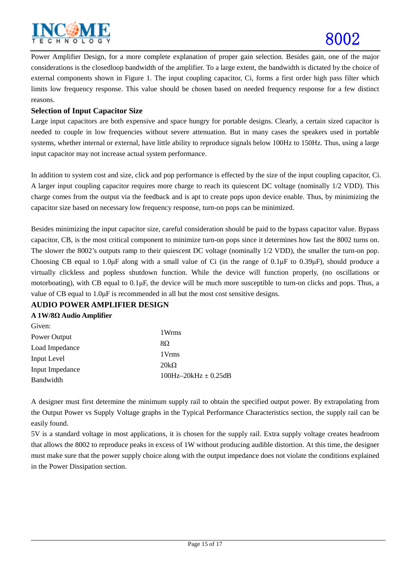

Power Amplifier Design, for a more complete explanation of proper gain selection. Besides gain, one of the major considerations is the closedloop bandwidth of the amplifier. To a large extent, the bandwidth is dictated by the choice of external components shown in Figure 1. The input coupling capacitor, Ci, forms a first order high pass filter which limits low frequency response. This value should be chosen based on needed frequency response for a few distinct reasons.

#### **Selection of Input Capacitor Size**

Large input capacitors are both expensive and space hungry for portable designs. Clearly, a certain sized capacitor is needed to couple in low frequencies without severe attenuation. But in many cases the speakers used in portable systems, whether internal or external, have little ability to reproduce signals below 100Hz to 150Hz. Thus, using a large input capacitor may not increase actual system performance.

In addition to system cost and size, click and pop performance is effected by the size of the input coupling capacitor, Ci. A larger input coupling capacitor requires more charge to reach its quiescent DC voltage (nominally 1/2 VDD). This charge comes from the output via the feedback and is apt to create pops upon device enable. Thus, by minimizing the capacitor size based on necessary low frequency response, turn-on pops can be minimized.

Besides minimizing the input capacitor size, careful consideration should be paid to the bypass capacitor value. Bypass capacitor, CB, is the most critical component to minimize turn-on pops since it determines how fast the 8002 turns on. The slower the 8002's outputs ramp to their quiescent DC voltage (nominally 1/2 VDD), the smaller the turn-on pop. Choosing CB equal to 1.0µF along with a small value of Ci (in the range of 0.1µF to 0.39µF), should produce a virtually clickless and popless shutdown function. While the device will function properly, (no oscillations or motorboating), with CB equal to  $0.1\mu$ F, the device will be much more susceptible to turn-on clicks and pops. Thus, a value of CB equal to 1.0µF is recommended in all but the most cost sensitive designs.

#### **AUDIO POWER AMPLIFIER DESIGN**

#### **A 1W/8Ω Audio Amplifier**

| Given:           |                            |
|------------------|----------------------------|
| Power Output     | 1 Wrms                     |
| Load Impedance   | $8\Omega$                  |
|                  | 1 Vrms                     |
| Input Level      | $20k\Omega$                |
| Input Impedance  |                            |
| <b>Bandwidth</b> | $100Hz - 20kHz \pm 0.25dB$ |

A designer must first determine the minimum supply rail to obtain the specified output power. By extrapolating from the Output Power vs Supply Voltage graphs in the Typical Performance Characteristics section, the supply rail can be easily found.

5V is a standard voltage in most applications, it is chosen for the supply rail. Extra supply voltage creates headroom that allows the 8002 to reproduce peaks in excess of 1W without producing audible distortion. At this time, the designer must make sure that the power supply choice along with the output impedance does not violate the conditions explained in the Power Dissipation section.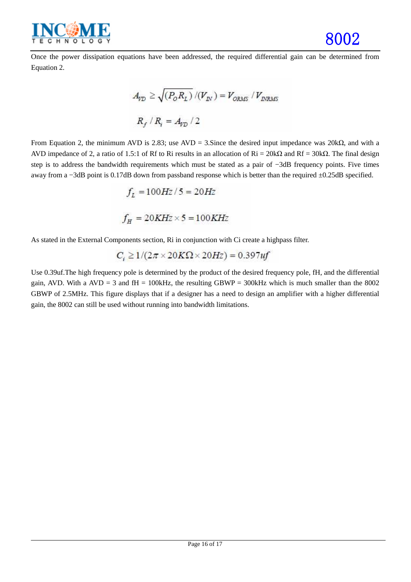

Once the power dissipation equations have been addressed, the required differential gain can be determined from Equation 2.

$$
A_{VD} \ge \sqrt{(P_O R_L)} / (V_{IN}) = V_{ORMS} / V_{INRMS}
$$
  

$$
R_f / R_i = A_{VD} / 2
$$

From Equation 2, the minimum AVD is 2.83; use AVD = 3.Since the desired input impedance was 20k $\Omega$ , and with a AVD impedance of 2, a ratio of 1.5:1 of Rf to Ri results in an allocation of Ri =  $20k\Omega$  and Rf =  $30k\Omega$ . The final design step is to address the bandwidth requirements which must be stated as a pair of −3dB frequency points. Five times away from a −3dB point is 0.17dB down from passband response which is better than the required ±0.25dB specified.

$$
f_L = 100Hz / 5 = 20Hz
$$
  

$$
f_H = 20KHz \times 5 = 100KHz
$$

As stated in the External Components section, Ri in conjunction with Ci create a highpass filter.

$$
C_i \ge 1/(2\pi \times 20K\Omega \times 20Hz) = 0.397 \text{uf}
$$

Use 0.39uf.The high frequency pole is determined by the product of the desired frequency pole, fH, and the differential gain, AVD. With a AVD = 3 and fH = 100kHz, the resulting GBWP = 300kHz which is much smaller than the 8002 GBWP of 2.5MHz. This figure displays that if a designer has a need to design an amplifier with a higher differential gain, the 8002 can still be used without running into bandwidth limitations.